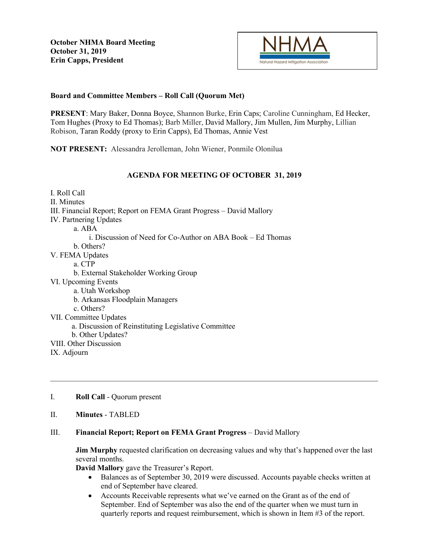

## **Board and Committee Members – Roll Call (Quorum Met)**

**PRESENT**: Mary Baker, Donna Boyce, Shannon Burke, Erin Caps; Caroline Cunningham, Ed Hecker, Tom Hughes (Proxy to Ed Thomas); Barb Miller, David Mallory, Jim Mullen, Jim Murphy, Lillian Robison, Taran Roddy (proxy to Erin Capps), Ed Thomas, Annie Vest

**NOT PRESENT:** Alessandra Jerolleman, John Wiener, Ponmile Olonilua

# **AGENDA FOR MEETING OF OCTOBER 31, 2019**

I. Roll Call II. Minutes III. Financial Report; Report on FEMA Grant Progress – David Mallory IV. Partnering Updates a. ABA i. Discussion of Need for Co-Author on ABA Book – Ed Thomas b. Others? V. FEMA Updates a. CTP b. External Stakeholder Working Group VI. Upcoming Events a. Utah Workshop b. Arkansas Floodplain Managers c. Others? VII. Committee Updates a. Discussion of Reinstituting Legislative Committee b. Other Updates? VIII. Other Discussion IX. Adjourn

- I. **Roll Call** Quorum present
- II. **Minutes** TABLED

### III. **Financial Report; Report on FEMA Grant Progress** – David Mallory

**Jim Murphy** requested clarification on decreasing values and why that's happened over the last several months.

**David Mallory** gave the Treasurer's Report.

- Balances as of September 30, 2019 were discussed. Accounts payable checks written at end of September have cleared.
- Accounts Receivable represents what we've earned on the Grant as of the end of September. End of September was also the end of the quarter when we must turn in quarterly reports and request reimbursement, which is shown in Item #3 of the report.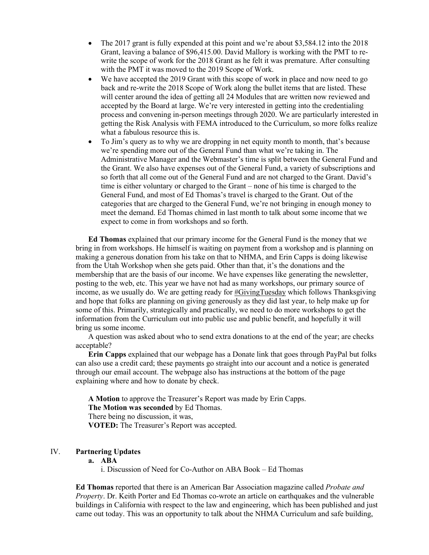- The 2017 grant is fully expended at this point and we're about \$3,584.12 into the 2018 Grant, leaving a balance of \$96,415.00. David Mallory is working with the PMT to rewrite the scope of work for the 2018 Grant as he felt it was premature. After consulting with the PMT it was moved to the 2019 Scope of Work.
- We have accepted the 2019 Grant with this scope of work in place and now need to go back and re-write the 2018 Scope of Work along the bullet items that are listed. These will center around the idea of getting all 24 Modules that are written now reviewed and accepted by the Board at large. We're very interested in getting into the credentialing process and convening in-person meetings through 2020. We are particularly interested in getting the Risk Analysis with FEMA introduced to the Curriculum, so more folks realize what a fabulous resource this is.
- To Jim's query as to why we are dropping in net equity month to month, that's because we're spending more out of the General Fund than what we're taking in. The Administrative Manager and the Webmaster's time is split between the General Fund and the Grant. We also have expenses out of the General Fund, a variety of subscriptions and so forth that all come out of the General Fund and are not charged to the Grant. David's time is either voluntary or charged to the Grant – none of his time is charged to the General Fund, and most of Ed Thomas's travel is charged to the Grant. Out of the categories that are charged to the General Fund, we're not bringing in enough money to meet the demand. Ed Thomas chimed in last month to talk about some income that we expect to come in from workshops and so forth.

**Ed Thomas** explained that our primary income for the General Fund is the money that we bring in from workshops. He himself is waiting on payment from a workshop and is planning on making a generous donation from his take on that to NHMA, and Erin Capps is doing likewise from the Utah Workshop when she gets paid. Other than that, it's the donations and the membership that are the basis of our income. We have expenses like generating the newsletter, posting to the web, etc. This year we have not had as many workshops, our primary source of income, as we usually do. We are getting ready for #GivingTuesday which follows Thanksgiving and hope that folks are planning on giving generously as they did last year, to help make up for some of this. Primarily, strategically and practically, we need to do more workshops to get the information from the Curriculum out into public use and public benefit, and hopefully it will bring us some income.

A question was asked about who to send extra donations to at the end of the year; are checks acceptable?

**Erin Capps** explained that our webpage has a Donate link that goes through PayPal but folks can also use a credit card; these payments go straight into our account and a notice is generated through our email account. The webpage also has instructions at the bottom of the page explaining where and how to donate by check.

**A Motion** to approve the Treasurer's Report was made by Erin Capps. **The Motion was seconded** by Ed Thomas. There being no discussion, it was, **VOTED:** The Treasurer's Report was accepted.

## IV. **Partnering Updates**

**a. ABA**

i. Discussion of Need for Co-Author on ABA Book – Ed Thomas

**Ed Thomas** reported that there is an American Bar Association magazine called *Probate and Property*. Dr. Keith Porter and Ed Thomas co-wrote an article on earthquakes and the vulnerable buildings in California with respect to the law and engineering, which has been published and just came out today. This was an opportunity to talk about the NHMA Curriculum and safe building,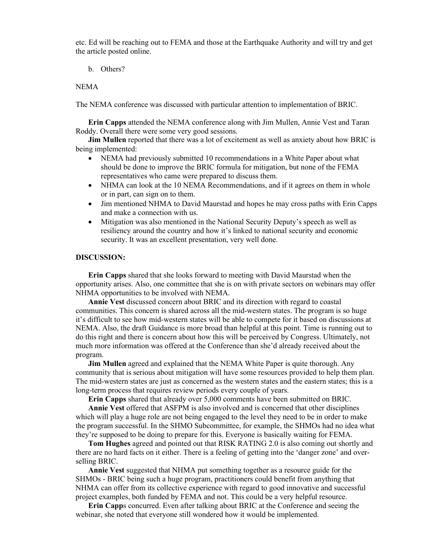etc. Ed will be reaching out to FEMA and those at the Earthquake Authority and will try and get the article posted online.

b. Others?

#### NEMA

The NEMA conference was discussed with particular attention to implementation of BRIC.

**Erin Capps** attended the NEMA conference along with Jim Mullen, Annie Vest and Taran Roddy. Overall there were some very good sessions.

**Jim Mullen** reported that there was a lot of excitement as well as anxiety about how BRIC is being implemented:

- NEMA had previously submitted 10 recommendations in a White Paper about what should be done to improve the BRIC formula for mitigation, but none of the FEMA representatives who came were prepared to discuss them.
- NHMA can look at the 10 NEMA Recommendations, and if it agrees on them in whole or in part, can sign on to them.
- Jim mentioned NHMA to David Maurstad and hopes he may cross paths with Erin Capps and make a connection with us.
- Mitigation was also mentioned in the National Security Deputy's speech as well as resiliency around the country and how it's linked to national security and economic security. It was an excellent presentation, very well done.

#### **DISCUSSION:**

**Erin Capps** shared that she looks forward to meeting with David Maurstad when the opportunity arises. Also, one committee that she is on with private sectors on webinars may offer NHMA opportunities to be involved with NEMA.

**Annie Vest** discussed concern about BRIC and its direction with regard to coastal communities. This concern is shared across all the mid-western states. The program is so huge it's difficult to see how mid-western states will be able to compete for it based on discussions at NEMA. Also, the draft Guidance is more broad than helpful at this point. Time is running out to do this right and there is concern about how this will be perceived by Congress. Ultimately, not much more information was offered at the Conference than she'd already received about the program.

**Jim Mullen** agreed and explained that the NEMA White Paper is quite thorough. Any community that is serious about mitigation will have some resources provided to help them plan. The mid-western states are just as concerned as the western states and the eastern states; this is a long-term process that requires review periods every couple of years.

**Erin Capps** shared that already over 5,000 comments have been submitted on BRIC.

**Annie Vest** offered that ASFPM is also involved and is concerned that other disciplines which will play a huge role are not being engaged to the level they need to be in order to make the program successful. In the SHMO Subcommittee, for example, the SHMOs had no idea what they're supposed to be doing to prepare for this. Everyone is basically waiting for FEMA.

**Tom Hughes** agreed and pointed out that RISK RATING 2.0 is also coming out shortly and there are no hard facts on it either. There is a feeling of getting into the 'danger zone' and overselling BRIC.

**Annie Vest** suggested that NHMA put something together as a resource guide for the SHMOs - BRIC being such a huge program, practitioners could benefit from anything that NHMA can offer from its collective experience with regard to good innovative and successful project examples, both funded by FEMA and not. This could be a very helpful resource.

**Erin Capp**s concurred. Even after talking about BRIC at the Conference and seeing the webinar, she noted that everyone still wondered how it would be implemented.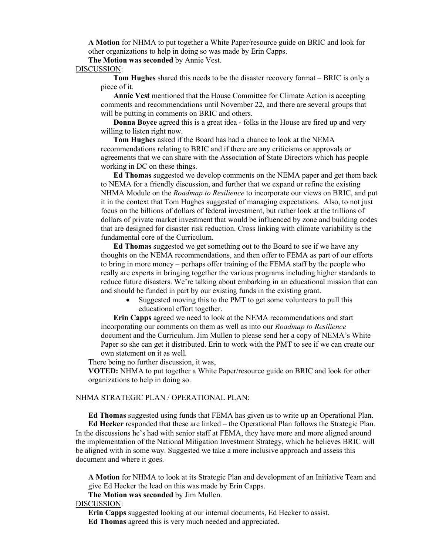**A Motion** for NHMA to put together a White Paper/resource guide on BRIC and look for other organizations to help in doing so was made by Erin Capps.

**The Motion was seconded** by Annie Vest.

#### DISCUSSION:

**Tom Hughes** shared this needs to be the disaster recovery format – BRIC is only a piece of it.

**Annie Vest** mentioned that the House Committee for Climate Action is accepting comments and recommendations until November 22, and there are several groups that will be putting in comments on BRIC and others.

**Donna Boyce** agreed this is a great idea - folks in the House are fired up and very willing to listen right now.

**Tom Hughes** asked if the Board has had a chance to look at the NEMA recommendations relating to BRIC and if there are any criticisms or approvals or agreements that we can share with the Association of State Directors which has people working in DC on these things.

**Ed Thomas** suggested we develop comments on the NEMA paper and get them back to NEMA for a friendly discussion, and further that we expand or refine the existing NHMA Module on the *Roadmap to Resilience* to incorporate our views on BRIC, and put it in the context that Tom Hughes suggested of managing expectations. Also, to not just focus on the billions of dollars of federal investment, but rather look at the trillions of dollars of private market investment that would be influenced by zone and building codes that are designed for disaster risk reduction. Cross linking with climate variability is the fundamental core of the Curriculum.

**Ed Thomas** suggested we get something out to the Board to see if we have any thoughts on the NEMA recommendations, and then offer to FEMA as part of our efforts to bring in more money – perhaps offer training of the FEMA staff by the people who really are experts in bringing together the various programs including higher standards to reduce future disasters. We're talking about embarking in an educational mission that can and should be funded in part by our existing funds in the existing grant.

Suggested moving this to the PMT to get some volunteers to pull this educational effort together.

**Erin Capps** agreed we need to look at the NEMA recommendations and start incorporating our comments on them as well as into our *Roadmap to Resilience* document and the Curriculum. Jim Mullen to please send her a copy of NEMA's White Paper so she can get it distributed. Erin to work with the PMT to see if we can create our own statement on it as well.

There being no further discussion, it was,

**VOTED:** NHMA to put together a White Paper/resource guide on BRIC and look for other organizations to help in doing so.

### NHMA STRATEGIC PLAN / OPERATIONAL PLAN:

**Ed Thomas** suggested using funds that FEMA has given us to write up an Operational Plan. **Ed Hecker** responded that these are linked – the Operational Plan follows the Strategic Plan. In the discussions he's had with senior staff at FEMA, they have more and more aligned around the implementation of the National Mitigation Investment Strategy, which he believes BRIC will be aligned with in some way. Suggested we take a more inclusive approach and assess this document and where it goes.

**A Motion** for NHMA to look at its Strategic Plan and development of an Initiative Team and give Ed Hecker the lead on this was made by Erin Capps.

**The Motion was seconded** by Jim Mullen.

#### DISCUSSION:

**Erin Capps** suggested looking at our internal documents, Ed Hecker to assist. **Ed Thomas** agreed this is very much needed and appreciated.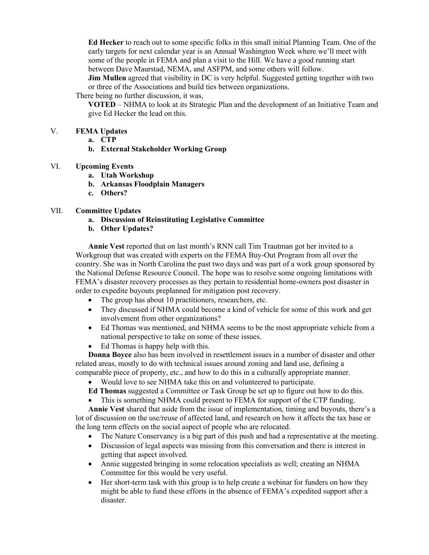**Ed Hecker** to reach out to some specific folks in this small initial Planning Team. One of the early targets for next calendar year is an Annual Washington Week where we'll meet with some of the people in FEMA and plan a visit to the Hill. We have a good running start between Dave Maurstad, NEMA, and ASFPM, and some others will follow.

**Jim Mullen** agreed that visibility in DC is very helpful. Suggested getting together with two or three of the Associations and build ties between organizations.

There being no further discussion, it was,

**VOTED** – NHMA to look at its Strategic Plan and the development of an Initiative Team and give Ed Hecker the lead on this.

### V. **FEMA Updates**

- **a. CTP**
- **b. External Stakeholder Working Group**

#### VI. **Upcoming Events**

- **a. Utah Workshop**
- **b. Arkansas Floodplain Managers**
- **c. Others?**

#### VII. **Committee Updates**

- **a. Discussion of Reinstituting Legislative Committee**
- **b. Other Updates?**

**Annie Vest** reported that on last month's RNN call Tim Trautman got her invited to a Workgroup that was created with experts on the FEMA Buy-Out Program from all over the country. She was in North Carolina the past two days and was part of a work group sponsored by the National Defense Resource Council. The hope was to resolve some ongoing limitations with FEMA's disaster recovery processes as they pertain to residential home-owners post disaster in order to expedite buyouts preplanned for mitigation post recovery.

- The group has about 10 practitioners, researchers, etc.
- They discussed if NHMA could become a kind of vehicle for some of this work and get involvement from other organizations?
- Ed Thomas was mentioned, and NHMA seems to be the most appropriate vehicle from a national perspective to take on some of these issues.
- Ed Thomas is happy help with this.

**Donna Boyce** also has been involved in resettlement issues in a number of disaster and other related areas, mostly to do with technical issues around zoning and land use, defining a comparable piece of property, etc., and how to do this in a culturally appropriate manner.

- Would love to see NHMA take this on and volunteered to participate.
- **Ed Thomas** suggested a Committee or Task Group be set up to figure out how to do this.
- This is something NHMA could present to FEMA for support of the CTP funding.

**Annie Vest** shared that aside from the issue of implementation, timing and buyouts, there's a lot of discussion on the use/reuse of affected land, and research on how it affects the tax base or the long term effects on the social aspect of people who are relocated.

- The Nature Conservancy is a big part of this push and had a representative at the meeting.
- Discussion of legal aspects was missing from this conversation and there is interest in getting that aspect involved.
- Annie suggested bringing in some relocation specialists as well; creating an NHMA Committee for this would be very useful.
- Her short-term task with this group is to help create a webinar for funders on how they might be able to fund these efforts in the absence of FEMA's expedited support after a disaster.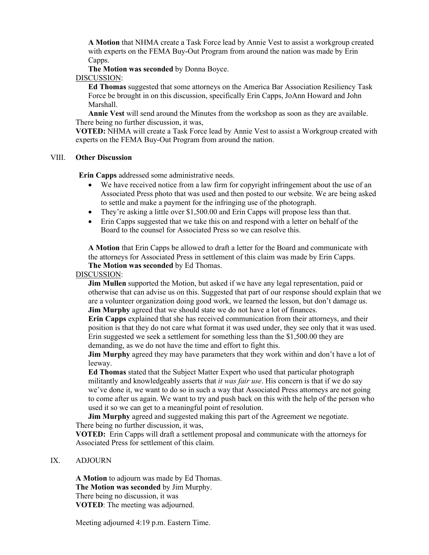**A Motion** that NHMA create a Task Force lead by Annie Vest to assist a workgroup created with experts on the FEMA Buy-Out Program from around the nation was made by Erin Capps.

**The Motion was seconded** by Donna Boyce.

#### DISCUSSION:

**Ed Thomas** suggested that some attorneys on the America Bar Association Resiliency Task Force be brought in on this discussion, specifically Erin Capps, JoAnn Howard and John Marshall.

**Annie Vest** will send around the Minutes from the workshop as soon as they are available. There being no further discussion, it was,

**VOTED:** NHMA will create a Task Force lead by Annie Vest to assist a Workgroup created with experts on the FEMA Buy-Out Program from around the nation.

#### VIII. **Other Discussion**

**Erin Capps** addressed some administrative needs.

- We have received notice from a law firm for copyright infringement about the use of an Associated Press photo that was used and then posted to our website. We are being asked to settle and make a payment for the infringing use of the photograph.
- They're asking a little over \$1,500.00 and Erin Capps will propose less than that.
- Erin Capps suggested that we take this on and respond with a letter on behalf of the Board to the counsel for Associated Press so we can resolve this.

**A Motion** that Erin Capps be allowed to draft a letter for the Board and communicate with the attorneys for Associated Press in settlement of this claim was made by Erin Capps. **The Motion was seconded** by Ed Thomas.

### DISCUSSION:

**Jim Mullen** supported the Motion, but asked if we have any legal representation, paid or otherwise that can advise us on this. Suggested that part of our response should explain that we are a volunteer organization doing good work, we learned the lesson, but don't damage us. **Jim Murphy** agreed that we should state we do not have a lot of finances.

**Erin Capps** explained that she has received communication from their attorneys, and their position is that they do not care what format it was used under, they see only that it was used. Erin suggested we seek a settlement for something less than the \$1,500.00 they are demanding, as we do not have the time and effort to fight this.

**Jim Murphy** agreed they may have parameters that they work within and don't have a lot of leeway.

**Ed Thomas** stated that the Subject Matter Expert who used that particular photograph militantly and knowledgeably asserts that *it was fair use*. His concern is that if we do say we've done it, we want to do so in such a way that Associated Press attorneys are not going to come after us again. We want to try and push back on this with the help of the person who used it so we can get to a meaningful point of resolution.

**Jim Murphy** agreed and suggested making this part of the Agreement we negotiate. There being no further discussion, it was,

**VOTED:** Erin Capps will draft a settlement proposal and communicate with the attorneys for Associated Press for settlement of this claim.

### IX. ADJOURN

**A Motion** to adjourn was made by Ed Thomas. **The Motion was seconded** by Jim Murphy. There being no discussion, it was **VOTED**: The meeting was adjourned.

Meeting adjourned 4:19 p.m. Eastern Time.